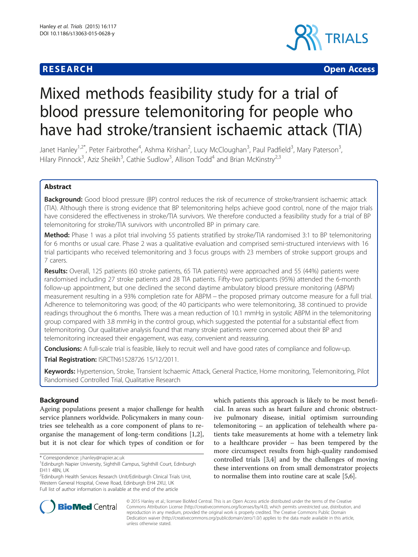## **RESEARCH CHEAR CHEAR CHEAR CHEAR CHEAR CHEAR CHEAR CHEAR CHEAR CHEAR CHEAR CHEAR CHEAR CHEAR CHEAR CHEAR CHEAR**



# Mixed methods feasibility study for a trial of blood pressure telemonitoring for people who have had stroke/transient ischaemic attack (TIA)

Janet Hanley<sup>1,2\*</sup>, Peter Fairbrother<sup>4</sup>, Ashma Krishan<sup>2</sup>, Lucy McCloughan<sup>3</sup>, Paul Padfield<sup>3</sup>, Mary Paterson<sup>3</sup> , Hilary Pinnock<sup>3</sup>, Aziz Sheikh<sup>3</sup>, Cathie Sudlow<sup>3</sup>, Allison Todd<sup>4</sup> and Brian McKinstry<sup>2,3</sup>

## Abstract

**Background:** Good blood pressure (BP) control reduces the risk of recurrence of stroke/transient ischaemic attack (TIA). Although there is strong evidence that BP telemonitoring helps achieve good control, none of the major trials have considered the effectiveness in stroke/TIA survivors. We therefore conducted a feasibility study for a trial of BP telemonitoring for stroke/TIA survivors with uncontrolled BP in primary care.

**Method:** Phase 1 was a pilot trial involving 55 patients stratified by stroke/TIA randomised 3:1 to BP telemonitoring for 6 months or usual care. Phase 2 was a qualitative evaluation and comprised semi-structured interviews with 16 trial participants who received telemonitoring and 3 focus groups with 23 members of stroke support groups and 7 carers.

Results: Overall, 125 patients (60 stroke patients, 65 TIA patients) were approached and 55 (44%) patients were randomised including 27 stroke patients and 28 TIA patients. Fifty-two participants (95%) attended the 6-month follow-up appointment, but one declined the second daytime ambulatory blood pressure monitoring (ABPM) measurement resulting in a 93% completion rate for ABPM – the proposed primary outcome measure for a full trial. Adherence to telemonitoring was good; of the 40 participants who were telemonitoring, 38 continued to provide readings throughout the 6 months. There was a mean reduction of 10.1 mmHg in systolic ABPM in the telemonitoring group compared with 3.8 mmHg in the control group, which suggested the potential for a substantial effect from telemonitoring. Our qualitative analysis found that many stroke patients were concerned about their BP and telemonitoring increased their engagement, was easy, convenient and reassuring.

**Conclusions:** A full-scale trial is feasible, likely to recruit well and have good rates of compliance and follow-up.

Trial Registration: [ISRCTN61528726](http://www.isrctn.com/ISRCTN61528726) 15/12/2011.

Keywords: Hypertension, Stroke, Transient Ischaemic Attack, General Practice, Home monitoring, Telemonitoring, Pilot Randomised Controlled Trial, Qualitative Research

## Background

Ageing populations present a major challenge for health service planners worldwide. Policymakers in many countries see telehealth as a core component of plans to reorganise the management of long-term conditions [\[1,2](#page-8-0)], but it is not clear for which types of condition or for

<sup>2</sup>Edinburgh Health Services Research Unit/Edinburgh Clinical Trials Unit, Western General Hospital, Crewe Road, Edinburgh EH4 2XU, UK Full list of author information is available at the end of the article

which patients this approach is likely to be most beneficial. In areas such as heart failure and chronic obstructive pulmonary disease, initial optimism surrounding telemonitoring – an application of telehealth where patients take measurements at home with a telemetry link to a healthcare provider – has been tempered by the more circumspect results from high-quality randomised controlled trials [[3,4\]](#page-8-0) and by the challenges of moving these interventions on from small demonstrator projects to normalise them into routine care at scale [[5,6\]](#page-9-0).



© 2015 Hanley et al.; licensee BioMed Central. This is an Open Access article distributed under the terms of the Creative Commons Attribution License [\(http://creativecommons.org/licenses/by/4.0\)](http://creativecommons.org/licenses/by/4.0), which permits unrestricted use, distribution, and reproduction in any medium, provided the original work is properly credited. The Creative Commons Public Domain Dedication waiver [\(http://creativecommons.org/publicdomain/zero/1.0/](http://creativecommons.org/publicdomain/zero/1.0/)) applies to the data made available in this article, unless otherwise stated.

<sup>\*</sup> Correspondence: [j.hanley@napier.ac.uk](mailto:j.hanley@napier.ac.uk) <sup>1</sup>

<sup>&</sup>lt;sup>1</sup>Edinburgh Napier University, Sighthill Campus, Sighthill Court, Edinburgh EH11 4BN, UK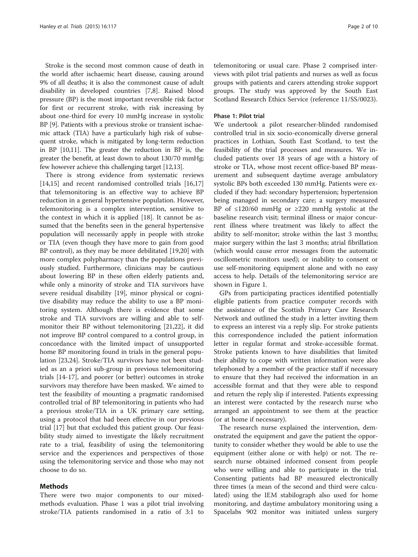Stroke is the second most common cause of death in the world after ischaemic heart disease, causing around 9% of all deaths; it is also the commonest cause of adult disability in developed countries [\[7,8](#page-9-0)]. Raised blood pressure (BP) is the most important reversible risk factor for first or recurrent stroke, with risk increasing by about one-third for every 10 mmHg increase in systolic BP [[9\]](#page-9-0). Patients with a previous stroke or transient ischaemic attack (TIA) have a particularly high risk of subsequent stroke, which is mitigated by long-term reduction in BP [[10](#page-9-0),[11](#page-9-0)]. The greater the reduction in BP is, the greater the benefit, at least down to about 130/70 mmHg; few however achieve this challenging target [[12,13\]](#page-9-0).

There is strong evidence from systematic reviews [[14,15\]](#page-9-0) and recent randomised controlled trials [[16](#page-9-0),[17](#page-9-0)] that telemonitoring is an effective way to achieve BP reduction in a general hypertensive population. However, telemonitoring is a complex intervention, sensitive to the context in which it is applied [\[18](#page-9-0)]. It cannot be assumed that the benefits seen in the general hypertensive population will necessarily apply in people with stroke or TIA (even though they have more to gain from good BP control), as they may be more debilitated [[19,20\]](#page-9-0) with more complex polypharmacy than the populations previously studied. Furthermore, clinicians may be cautious about lowering BP in these often elderly patients and, while only a minority of stroke and TIA survivors have severe residual disability [\[19\]](#page-9-0), minor physical or cognitive disability may reduce the ability to use a BP monitoring system. Although there is evidence that some stroke and TIA survivors are willing and able to selfmonitor their BP without telemonitoring [\[21,22](#page-9-0)], it did not improve BP control compared to a control group, in concordance with the limited impact of unsupported home BP monitoring found in trials in the general population [[23,24](#page-9-0)]. Stroke/TIA survivors have not been studied as an a priori sub-group in previous telemonitoring trials [[14](#page-9-0)-[17\]](#page-9-0), and poorer (or better) outcomes in stroke survivors may therefore have been masked. We aimed to test the feasibility of mounting a pragmatic randomised controlled trial of BP telemonitoring in patients who had a previous stroke/TIA in a UK primary care setting, using a protocol that had been effective in our previous trial [\[17](#page-9-0)] but that excluded this patient group. Our feasibility study aimed to investigate the likely recruitment rate to a trial, feasibility of using the telemonitoring service and the experiences and perspectives of those using the telemonitoring service and those who may not choose to do so.

## Methods

There were two major components to our mixedmethods evaluation. Phase 1 was a pilot trial involving stroke/TIA patients randomised in a ratio of 3:1 to

telemonitoring or usual care. Phase 2 comprised interviews with pilot trial patients and nurses as well as focus groups with patients and carers attending stroke support groups. The study was approved by the South East Scotland Research Ethics Service (reference 11/SS/0023).

#### Phase 1: Pilot trial

We undertook a pilot researcher-blinded randomised controlled trial in six socio-economically diverse general practices in Lothian, South East Scotland, to test the feasibility of the trial processes and measures. We included patients over 18 years of age with a history of stroke or TIA, whose most recent office-based BP measurement and subsequent daytime average ambulatory systolic BPs both exceeded 130 mmHg. Patients were excluded if they had: secondary hypertension; hypertension being managed in secondary care; a surgery measured BP of ≤120/60 mmHg or ≥220 mmHg systolic at the baseline research visit; terminal illness or major concurrent illness where treatment was likely to affect the ability to self-monitor; stroke within the last 3 months; major surgery within the last 3 months; atrial fibrillation (which would cause error messages from the automatic oscillometric monitors used); or inability to consent or use self-monitoring equipment alone and with no easy access to help. Details of the telemonitoring service are shown in Figure [1.](#page-2-0)

GPs from participating practices identified potentially eligible patients from practice computer records with the assistance of the Scottish Primary Care Research Network and outlined the study in a letter inviting them to express an interest via a reply slip. For stroke patients this correspondence included the patient information letter in regular format and stroke-accessible format. Stroke patients known to have disabilities that limited their ability to cope with written information were also telephoned by a member of the practice staff if necessary to ensure that they had received the information in an accessible format and that they were able to respond and return the reply slip if interested. Patients expressing an interest were contacted by the research nurse who arranged an appointment to see them at the practice (or at home if necessary).

The research nurse explained the intervention, demonstrated the equipment and gave the patient the opportunity to consider whether they would be able to use the equipment (either alone or with help) or not. The research nurse obtained informed consent from people who were willing and able to participate in the trial. Consenting patients had BP measured electronically three times (a mean of the second and third were calculated) using the IEM stabilograph also used for home monitoring, and daytime ambulatory monitoring using a Spacelabs 902 monitor was initiated unless surgery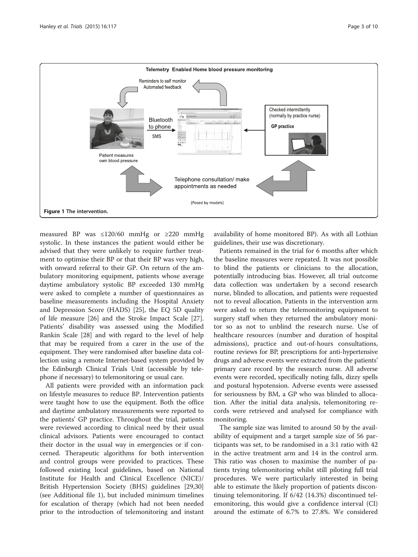<span id="page-2-0"></span>

measured BP was ≤120/60 mmHg or ≥220 mmHg systolic. In these instances the patient would either be advised that they were unlikely to require further treatment to optimise their BP or that their BP was very high, with onward referral to their GP. On return of the ambulatory monitoring equipment, patients whose average daytime ambulatory systolic BP exceeded 130 mmHg were asked to complete a number of questionnaires as baseline measurements including the Hospital Anxiety and Depression Score (HADS) [[25\]](#page-9-0), the EQ 5D quality of life measure [\[26\]](#page-9-0) and the Stroke Impact Scale [\[27](#page-9-0)]. Patients' disability was assessed using the Modified Rankin Scale [\[28](#page-9-0)] and with regard to the level of help that may be required from a carer in the use of the equipment. They were randomised after baseline data collection using a remote Internet-based system provided by the Edinburgh Clinical Trials Unit (accessible by telephone if necessary) to telemonitoring or usual care.

All patients were provided with an information pack on lifestyle measures to reduce BP. Intervention patients were taught how to use the equipment. Both the office and daytime ambulatory measurements were reported to the patients' GP practice. Throughout the trial, patients were reviewed according to clinical need by their usual clinical advisors. Patients were encouraged to contact their doctor in the usual way in emergencies or if concerned. Therapeutic algorithms for both intervention and control groups were provided to practices. These followed existing local guidelines, based on National Institute for Health and Clinical Excellence (NICE)/ British Hypertension Society (BHS) guidelines [[29](#page-9-0),[30](#page-9-0)] (see Additional file [1](#page-8-0)), but included minimum timelines for escalation of therapy (which had not been needed prior to the introduction of telemonitoring and instant availability of home monitored BP). As with all Lothian guidelines, their use was discretionary.

Patients remained in the trial for 6 months after which the baseline measures were repeated. It was not possible to blind the patients or clinicians to the allocation, potentially introducing bias. However, all trial outcome data collection was undertaken by a second research nurse, blinded to allocation, and patients were requested not to reveal allocation. Patients in the intervention arm were asked to return the telemonitoring equipment to surgery staff when they returned the ambulatory monitor so as not to unblind the research nurse. Use of healthcare resources (number and duration of hospital admissions), practice and out-of-hours consultations, routine reviews for BP, prescriptions for anti-hypertensive drugs and adverse events were extracted from the patients' primary care record by the research nurse. All adverse events were recorded, specifically noting falls, dizzy spells and postural hypotension. Adverse events were assessed for seriousness by BM, a GP who was blinded to allocation. After the initial data analysis, telemonitoring records were retrieved and analysed for compliance with monitoring.

The sample size was limited to around 50 by the availability of equipment and a target sample size of 56 participants was set, to be randomised in a 3:1 ratio with 42 in the active treatment arm and 14 in the control arm. This ratio was chosen to maximise the number of patients trying telemonitoring whilst still piloting full trial procedures. We were particularly interested in being able to estimate the likely proportion of patients discontinuing telemonitoring. If 6/42 (14.3%) discontinued telemonitoring, this would give a confidence interval (CI) around the estimate of 6.7% to 27.8%. We considered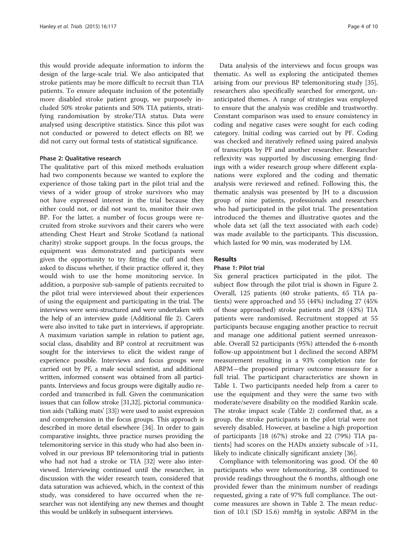this would provide adequate information to inform the design of the large-scale trial. We also anticipated that stroke patients may be more difficult to recruit than TIA patients. To ensure adequate inclusion of the potentially more disabled stroke patient group, we purposely included 50% stroke patients and 50% TIA patients, stratifying randomisation by stroke/TIA status. Data were analysed using descriptive statistics. Since this pilot was not conducted or powered to detect effects on BP, we did not carry out formal tests of statistical significance.

#### Phase 2: Qualitative research

The qualitative part of this mixed methods evaluation had two components because we wanted to explore the experience of those taking part in the pilot trial and the views of a wider group of stroke survivors who may not have expressed interest in the trial because they either could not, or did not want to, monitor their own BP. For the latter, a number of focus groups were recruited from stroke survivors and their carers who were attending Chest Heart and Stroke Scotland (a national charity) stroke support groups. In the focus groups, the equipment was demonstrated and participants were given the opportunity to try fitting the cuff and then asked to discuss whether, if their practice offered it, they would wish to use the home monitoring service. In addition, a purposive sub-sample of patients recruited to the pilot trial were interviewed about their experiences of using the equipment and participating in the trial. The interviews were semi-structured and were undertaken with the help of an interview guide (Additional file [2](#page-8-0)). Carers were also invited to take part in interviews, if appropriate. A maximum variation sample in relation to patient age, social class, disability and BP control at recruitment was sought for the interviews to elicit the widest range of experience possible. Interviews and focus groups were carried out by PF, a male social scientist, and additional written, informed consent was obtained from all participants. Interviews and focus groups were digitally audio recorded and transcribed in full. Given the communication issues that can follow stroke [\[31,32\]](#page-9-0), pictorial communication aids ('talking mats' [\[33\]](#page-9-0)) were used to assist expression and comprehension in the focus groups. This approach is described in more detail elsewhere [[34](#page-9-0)]. In order to gain comparative insights, three practice nurses providing the telemonitoring service in this study who had also been involved in our previous BP telemonitoring trial in patients who had not had a stroke or TIA [\[32\]](#page-9-0) were also interviewed. Interviewing continued until the researcher, in discussion with the wider research team, considered that data saturation was achieved, which, in the context of this study, was considered to have occurred when the researcher was not identifying any new themes and thought this would be unlikely in subsequent interviews.

Data analysis of the interviews and focus groups was thematic. As well as exploring the anticipated themes arising from our previous BP telemonitoring study [\[35](#page-9-0)], researchers also specifically searched for emergent, unanticipated themes. A range of strategies was employed to ensure that the analysis was credible and trustworthy. Constant comparison was used to ensure consistency in coding and negative cases were sought for each coding category. Initial coding was carried out by PF. Coding was checked and iteratively refined using paired analysis of transcripts by PF and another researcher. Researcher reflexivity was supported by discussing emerging findings with a wider research group where different explanations were explored and the coding and thematic analysis were reviewed and refined. Following this, the thematic analysis was presented by JH to a discussion group of nine patients, professionals and researchers who had participated in the pilot trial. The presentation introduced the themes and illustrative quotes and the whole data set (all the text associated with each code) was made available to the participants. This discussion, which lasted for 90 min, was moderated by LM.

#### Results

## Phase 1: Pilot trial

Six general practices participated in the pilot. The subject flow through the pilot trial is shown in Figure [2](#page-4-0). Overall, 125 patients (60 stroke patients, 65 TIA patients) were approached and 55 (44%) including 27 (45% of those approached) stroke patients and 28 (43%) TIA patients were randomised. Recruitment stopped at 55 participants because engaging another practice to recruit and manage one additional patient seemed unreasonable. Overall 52 participants (95%) attended the 6-month follow-up appointment but 1 declined the second ABPM measurement resulting in a 93% completion rate for ABPM—the proposed primary outcome measure for a full trial. The participant characteristics are shown in Table [1.](#page-5-0) Two participants needed help from a carer to use the equipment and they were the same two with moderate/severe disability on the modified Rankin scale. The stroke impact scale (Table [2](#page-5-0)) confirmed that, as a group, the stroke participants in the pilot trial were not severely disabled. However, at baseline a high proportion of participants [18 (67%) stroke and 22 (79%) TIA patients] had scores on the HADs anxiety subscale of >11, likely to indicate clinically significant anxiety [\[36](#page-9-0)].

Compliance with telemonitoring was good. Of the 40 participants who were telemonitoring, 38 continued to provide readings throughout the 6 months, although one provided fewer than the minimum number of readings requested, giving a rate of 97% full compliance. The outcome measures are shown in Table [2.](#page-5-0) The mean reduction of 10.1 (SD 15.6) mmHg in systolic ABPM in the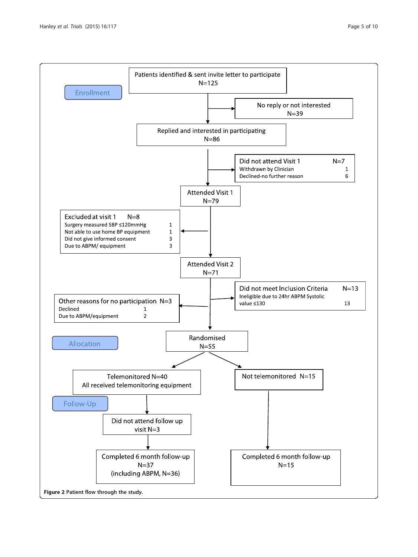<span id="page-4-0"></span>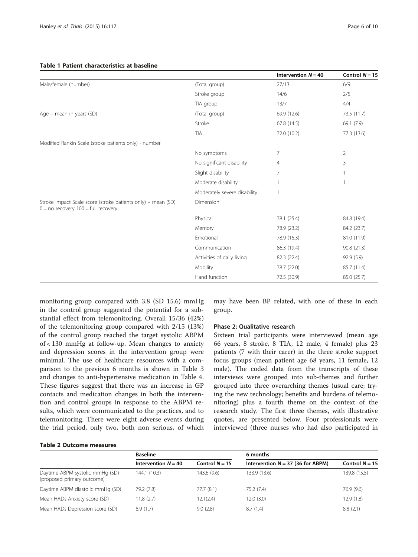#### <span id="page-5-0"></span>Table 1 Patient characteristics at baseline

|                                                                                                         |                              | Intervention $N = 40$ | Control $N = 15$ |
|---------------------------------------------------------------------------------------------------------|------------------------------|-----------------------|------------------|
| Male/female (number)                                                                                    | (Total group)                | 27/13                 | 6/9              |
|                                                                                                         | Stroke group                 | 14/6                  | 2/5              |
|                                                                                                         | TIA group                    | 13/7                  | 4/4              |
| Age - mean in years (SD)                                                                                | (Total group)                | 69.9 (12.6)           | 73.5 (11.7)      |
|                                                                                                         | Stroke                       | 67.8 (14.5)           | 69.1 (7.9)       |
|                                                                                                         | TIA                          | 72.0 (10.2)           | 77.3 (13.6)      |
| Modified Rankin Scale (stroke patients only) - number                                                   |                              |                       |                  |
|                                                                                                         | No symptoms                  | 7                     | $\overline{2}$   |
|                                                                                                         | No significant disability    | $\overline{4}$        | 3                |
|                                                                                                         | Slight disability            | 7                     |                  |
|                                                                                                         | Moderate disability          | 1                     |                  |
|                                                                                                         | Moderately severe disability | $\mathbf{1}$          |                  |
| Stroke Impact Scale score (stroke patients only) - mean (SD)<br>$0 =$ no recovery $100 =$ full recovery | Dimension                    |                       |                  |
|                                                                                                         | Physical                     | 78.1 (25.4)           | 84.8 (19.4)      |
|                                                                                                         | Memory                       | 78.9 (23.2)           | 84.2 (23.7)      |
|                                                                                                         | Emotional                    | 78.9 (16.3)           | 81.0 (11.9)      |
|                                                                                                         | Communication                | 86.3 (19.4)           | 90.8 (21.3)      |
|                                                                                                         | Activities of daily living   | 82.3 (22.4)           | 92.9(5.9)        |
|                                                                                                         | Mobility                     | 78.7 (22.0)           | 85.7 (11.4)      |
|                                                                                                         | Hand function                | 72.5 (30.9)           | 85.0 (25.7)      |

monitoring group compared with 3.8 (SD 15.6) mmHg in the control group suggested the potential for a substantial effect from telemonitoring. Overall 15/36 (42%) of the telemonitoring group compared with 2/15 (13%) of the control group reached the target systolic ABPM of < 130 mmHg at follow-up. Mean changes to anxiety and depression scores in the intervention group were minimal. The use of healthcare resources with a comparison to the previous 6 months is shown in Table [3](#page-6-0) and changes to anti-hypertensive medication in Table [4](#page-6-0). These figures suggest that there was an increase in GP contacts and medication changes in both the intervention and control groups in response to the ABPM results, which were communicated to the practices, and to telemonitoring. There were eight adverse events during the trial period, only two, both non serious, of which

#### Table 2 Outcome measures

may have been BP related, with one of these in each group.

#### Phase 2: Qualitative research

Sixteen trial participants were interviewed (mean age 66 years, 8 stroke, 8 TIA, 12 male, 4 female) plus 23 patients (7 with their carer) in the three stroke support focus groups (mean patient age 68 years, 11 female, 12 male). The coded data from the transcripts of these interviews were grouped into sub-themes and further grouped into three overarching themes (usual care; trying the new technology; benefits and burdens of telemonitoring) plus a fourth theme on the context of the research study. The first three themes, with illustrative quotes, are presented below. Four professionals were interviewed (three nurses who had also participated in

|                                                               | <b>Baseline</b>       |                  | 6 months                            |                  |
|---------------------------------------------------------------|-----------------------|------------------|-------------------------------------|------------------|
|                                                               | Intervention $N = 40$ | Control $N = 15$ | Intervention $N = 37$ (36 for ABPM) | Control $N = 15$ |
| Daytime ABPM systolic mmHg (SD)<br>(proposed primary outcome) | 144.1 (10.3)          | 143.6 (9.6)      | 133.9 (13.6)                        | 139.8 (15.5)     |
| Daytime ABPM diastolic mmHg (SD)                              | 79.2 (7.8)            | 77.7(8.1)        | 75.2(7.4)                           | 76.9 (9.6)       |
| Mean HADs Anxiety score (SD)                                  | 1.8(2.7)              | 12.1(2.4)        | 12.0(3.0)                           | 12.9(1.8)        |
| Mean HADs Depression score (SD)                               | 8.9(1.7)              | 9.0(2.8)         | 8.7(1.4)                            | 8.8(2.1)         |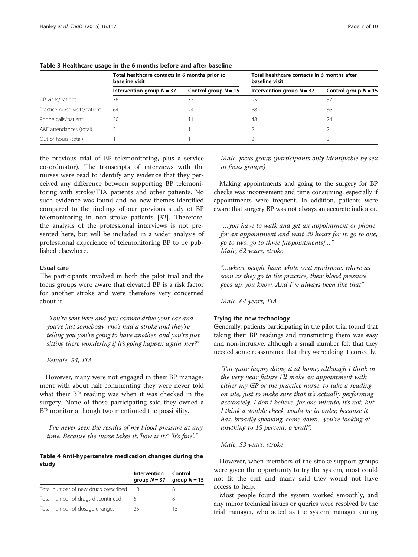|                               | Total healthcare contacts in 6 months prior to<br>baseline visit |                        | Total healthcare contacts in 6 months after<br>baseline visit |                        |
|-------------------------------|------------------------------------------------------------------|------------------------|---------------------------------------------------------------|------------------------|
|                               | Intervention group $N = 37$                                      | Control group $N = 15$ | Intervention group $N = 37$                                   | Control group $N = 15$ |
| GP visits/patient             | 36                                                               | 33                     | 95                                                            | 57                     |
| Practice nurse visits/patient | 64                                                               | 24                     | 68                                                            | 36                     |
| Phone calls/patient           | 20                                                               |                        | 48                                                            | 24                     |
| A&E attendances (total)       |                                                                  |                        |                                                               |                        |
| Out of hours (total)          |                                                                  |                        |                                                               |                        |

<span id="page-6-0"></span>Table 3 Healthcare usage in the 6 months before and after baseline

the previous trial of BP telemonitoring, plus a service co-ordinator). The transcripts of interviews with the nurses were read to identify any evidence that they perceived any difference between supporting BP telemonitoring with stroke/TIA patients and other patients. No such evidence was found and no new themes identified compared to the findings of our previous study of BP telemonitoring in non-stroke patients [\[32](#page-9-0)]. Therefore, the analysis of the professional interviews is not presented here, but will be included in a wider analysis of professional experience of telemonitoring BP to be published elsewhere.

## Usual care

The participants involved in both the pilot trial and the focus groups were aware that elevated BP is a risk factor for another stroke and were therefore very concerned about it.

"You're sent here and you cannae drive your car and you're just somebody who's had a stroke and they're telling you you're going to have another, and you're just sitting there wondering if it's going happen again, hey?"

## Female, 54, TIA

However, many were not engaged in their BP management with about half commenting they were never told what their BP reading was when it was checked in the surgery. None of those participating said they owned a BP monitor although two mentioned the possibility.

"I've never seen the results of my blood pressure at any time. Because the nurse takes it, 'how is it?' 'It's fine'."

#### Table 4 Anti-hypertensive medication changes during the study

|                                      | Intervention<br>group $N = 37$ | Control<br>group $N = 15$ |
|--------------------------------------|--------------------------------|---------------------------|
| Total number of new drugs prescribed | 18                             |                           |
| Total number of drugs discontinued   | 5                              | Χ                         |
| Total number of dosage changes       | 25                             | 15                        |

Male, focus group (participants only identifiable by sex in focus groups)

Making appointments and going to the surgery for BP checks was inconvenient and time consuming, especially if appointments were frequent. In addition, patients were aware that surgery BP was not always an accurate indicator.

"…you have to walk and get an appointment or phone for an appointment and wait 20 hours for it, go to one, go to two, go to three [appointments]…" Male, 62 years, stroke

"…where people have white coat syndrome, where as soon as they go to the practice, their blood pressure goes up, you know. And I've always been like that"

#### Male, 64 years, TIA

#### Trying the new technology

Generally, patients participating in the pilot trial found that taking their BP readings and transmitting them was easy and non-intrusive, although a small number felt that they needed some reassurance that they were doing it correctly.

"I'm quite happy doing it at home, although I think in the very near future I'll make an appointment with either my GP or the practice nurse, to take a reading on site, just to make sure that it's actually performing accurately. I don't believe, for one minute, it's not, but I think a double check would be in order, because it has, broadly speaking, come down…you're looking at anything to 15 percent, overall".

## Male, 53 years, stroke

However, when members of the stroke support groups were given the opportunity to try the system, most could not fit the cuff and many said they would not have access to help.

Most people found the system worked smoothly, and any minor technical issues or queries were resolved by the trial manager, who acted as the system manager during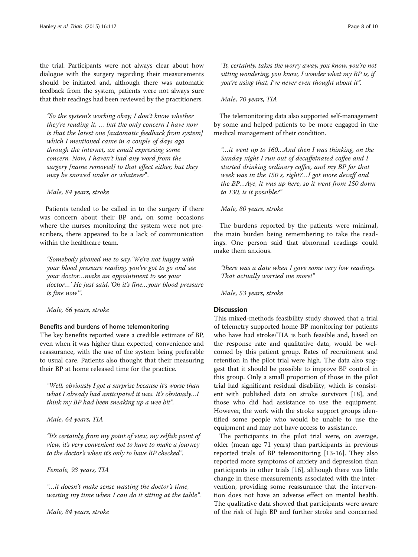the trial. Participants were not always clear about how dialogue with the surgery regarding their measurements should be initiated and, although there was automatic feedback from the system, patients were not always sure that their readings had been reviewed by the practitioners.

"So the system's working okay; I don't know whether they're reading it, … but the only concern I have now is that the latest one [automatic feedback from system] which I mentioned came in a couple of days ago through the internet, an email expressing some concern. Now, I haven't had any word from the surgery [name removed] to that effect either, but they may be snowed under or whatever".

#### Male, 84 years, stroke

Patients tended to be called in to the surgery if there was concern about their BP and, on some occasions where the nurses monitoring the system were not prescribers, there appeared to be a lack of communication within the healthcare team.

"Somebody phoned me to say, 'We're not happy with your blood pressure reading, you've got to go and see your doctor…make an appointment to see your doctor…' He just said, 'Oh it's fine…your blood pressure is fine now'".

Male, 66 years, stroke

## Benefits and burdens of home telemonitoring

The key benefits reported were a credible estimate of BP, even when it was higher than expected, convenience and reassurance, with the use of the system being preferable to usual care. Patients also thought that their measuring their BP at home released time for the practice.

"Well, obviously I got a surprise because it's worse than what I already had anticipated it was. It's obviously...I think my BP had been sneaking up a wee bit".

Male, 64 years, TIA

"It's certainly, from my point of view, my selfish point of view, it's very convenient not to have to make a journey to the doctor's when it's only to have BP checked".

Female, 93 years, TIA

"…it doesn't make sense wasting the doctor's time, wasting my time when I can do it sitting at the table".

Male, 84 years, stroke

"It, certainly, takes the worry away, you know, you're not sitting wondering, you know, I wonder what my BP is, if you're using that, I've never even thought about it".

#### Male, 70 years, TIA

The telemonitoring data also supported self-management by some and helped patients to be more engaged in the medical management of their condition.

"…it went up to 160…And then I was thinking, on the Sunday night I run out of decaffeinated coffee and I started drinking ordinary coffee, and my BP for that week was in the 150 s, right?…I got more decaff and the BP…Aye, it was up here, so it went from 150 down to 130, is it possible?"

#### Male, 80 years, stroke

The burdens reported by the patients were minimal, the main burden being remembering to take the readings. One person said that abnormal readings could make them anxious.

"there was a date when I gave some very low readings. That actually worried me more!"

Male, 53 years, stroke

### **Discussion**

This mixed-methods feasibility study showed that a trial of telemetry supported home BP monitoring for patients who have had stroke/TIA is both feasible and, based on the response rate and qualitative data, would be welcomed by this patient group. Rates of recruitment and retention in the pilot trial were high. The data also suggest that it should be possible to improve BP control in this group. Only a small proportion of those in the pilot trial had significant residual disability, which is consistent with published data on stroke survivors [\[18](#page-9-0)], and those who did had assistance to use the equipment. However, the work with the stroke support groups identified some people who would be unable to use the equipment and may not have access to assistance.

The participants in the pilot trial were, on average, older (mean age 71 years) than participants in previous reported trials of BP telemonitoring [[13-16](#page-9-0)]. They also reported more symptoms of anxiety and depression than participants in other trials [\[16](#page-9-0)], although there was little change in these measurements associated with the intervention, providing some reassurance that the intervention does not have an adverse effect on mental health. The qualitative data showed that participants were aware of the risk of high BP and further stroke and concerned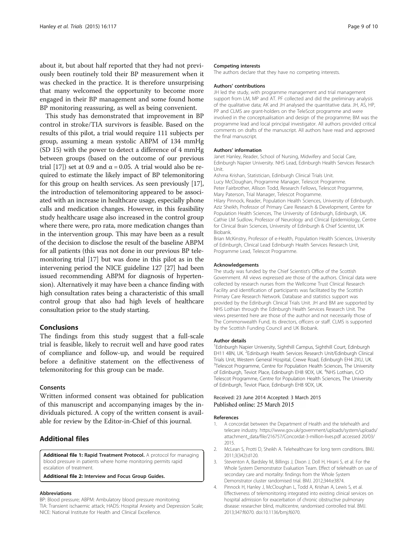<span id="page-8-0"></span>about it, but about half reported that they had not previously been routinely told their BP measurement when it was checked in the practice. It is therefore unsurprising that many welcomed the opportunity to become more engaged in their BP management and some found home BP monitoring reassuring, as well as being convenient.

This study has demonstrated that improvement in BP control in stroke/TIA survivors is feasible. Based on the results of this pilot, a trial would require 111 subjects per group, assuming a mean systolic ABPM of 134 mmHg (SD 15) with the power to detect a difference of 4 mmHg between groups (based on the outcome of our previous trial [[17](#page-9-0)]) set at 0.9 and  $\alpha$  = 0.05. A trial would also be required to estimate the likely impact of BP telemonitoring for this group on health services. As seen previously [[17](#page-9-0)], the introduction of telemonitoring appeared to be associated with an increase in healthcare usage, especially phone calls and medication changes. However, in this feasibility study healthcare usage also increased in the control group where there were, pro rata, more medication changes than in the intervention group. This may have been as a result of the decision to disclose the result of the baseline ABPM for all patients (this was not done in our previous BP telemonitoring trial [\[17\]](#page-9-0) but was done in this pilot as in the intervening period the NICE guideline 127 [\[27\]](#page-9-0) had been issued recommending ABPM for diagnosis of hypertension). Alternatively it may have been a chance finding with high consultation rates being a characteristic of this small control group that also had high levels of healthcare consultation prior to the study starting.

## Conclusions

The findings from this study suggest that a full-scale trial is feasible, likely to recruit well and have good rates of compliance and follow-up, and would be required before a definitive statement on the effectiveness of telemonitoring for this group can be made.

#### Consents

Written informed consent was obtained for publication of this manuscript and accompanying images by the individuals pictured. A copy of the written consent is available for review by the Editor-in-Chief of this journal.

## Additional files

[Additional file 1:](http://www.trialsjournal.com/content/supplementary/s13063-015-0628-y-s1.docx) Rapid Treatment Protocol. A protocol for managing blood pressure in patients where home monitoring permits rapid escalation of treatment.

[Additional file 2:](http://www.trialsjournal.com/content/supplementary/s13063-015-0628-y-s2.docx) Interview and Focus Group Guides.

#### Abbreviations

BP: Blood pressure; ABPM: Ambulatory blood pressure monitoring; TIA: Transient ischaemic attack; HADS: Hospital Anxiety and Depression Scale; NICE: National Institute for Health and Clinical Excellence.

#### Competing interests

The authors declare that they have no competing interests.

#### Authors' contributions

JH led the study, with programme management and trial management support from LM, MP and AT. PF collected and did the preliminary analysis of the qualitative data; AK and JH analysed the quantitative data. JH, AS, HP, PP and CLMS are grant-holders on the TeleScot programme and were involved in the conceptualisation and design of the programme; BM was the programme lead and local principal investigator. All authors provided critical comments on drafts of the manuscript. All authors have read and approved the final manuscript.

#### Authors' information

Janet Hanley, Reader, School of Nursing, Midwifery and Social Care, Edinburgh Napier University. NHS Lead, Edinburgh Health Services Research Unit.

Ashma Krishan, Statistician, Edinburgh Clinical Trials Unit. Lucy McCloughan, Programme Manager, Telescot Programme. Peter Fairbrother, Allison Todd, Research Fellows, Telescot Programme, Mary Paterson, Trial Manager, Telescot Programme.

Hilary Pinnock, Reader, Population Health Sciences, University of Edinburgh. Aziz Sheikh, Professor of Primary Care Research & Development, Centre for Population Health Sciences, The University of Edinburgh, Edinburgh, UK. Cathie LM Sudlow, Professor of Neurology and Clinical Epidemiology, Centre for Clinical Brain Sciences, University of Edinburgh & Chief Scientist, UK Biobank.

Brian McKinstry, Professor of e-Health, Population Health Sciences, University of Edinburgh, Clinical Lead Edinburgh Health Services Research Unit, Programme Lead, Telescot Programme.

#### Acknowledgements

The study was funded by the Chief Scientist's Office of the Scottish Government. All views expressed are those of the authors. Clinical data were collected by research nurses from the Wellcome Trust Clinical Research Facility and identification of participants was facilitated by the Scottish Primary Care Research Network. Database and statistics support was provided by the Edinburgh Clinical Trials Unit. JH and BM are supported by NHS Lothian through the Edinburgh Health Services Research Unit. The views presented here are those of the author and not necessarily those of The Commonwealth Fund, its directors, officers or staff. CLMS is supported by the Scottish Funding Council and UK Biobank.

#### Author details

<sup>1</sup>Edinburgh Napier University, Sighthill Campus, Sighthill Court, Edinburgh EH11 4BN, UK. <sup>2</sup>Edinburgh Health Services Research Unit/Edinburgh Clinical Trials Unit, Western General Hospital, Crewe Road, Edinburgh EH4 2XU, UK. <sup>3</sup>Telescot Programme, Centre for Population Health Sciences, The University of Edinburgh, Teviot Place, Edinburgh EH8 9DX, UK. <sup>4</sup>NHS Lothian, C/C Telescot Programme, Centre for Population Health Sciences, The University of Edinburgh, Teviot Place, Edinburgh EH8 9DX, UK.

#### Received: 23 June 2014 Accepted: 3 March 2015 Published online: 25 March 2015

#### References

- 1. A concordat between the Department of Health and the telehealth and telecare industry. [https://www.gov.uk/government/uploads/system/uploads/](https://www.gov.uk/government/uploads/system/uploads/attachment_data/file/216757/Concordat-3-million-lives.pdf) [attachment\\_data/file/216757/Concordat-3-million-lives.pdf](https://www.gov.uk/government/uploads/system/uploads/attachment_data/file/216757/Concordat-3-million-lives.pdf) accessed 20/03/ 2015.
- 2. McLean S, Protti D, Sheikh A. Telehealthcare for long term conditions. BMJ. 2011;3(342):d120.
- 3. Steventon A, Bardsley M, Billings J, Dixon J, Doll H, Hirani S, et al. For the Whole System Demonstrator Evaluation Team. Effect of telehealth on use of secondary care and mortality: findings from the Whole System Demonstrator cluster randomised trial. BMJ. 2012;344:e3874.
- 4. Pinnock H, Hanley J, McCloughan L, Todd A, Krishan A, Lewis S, et al. Effectiveness of telemonitoring integrated into existing clinical services on hospital admission for exacerbation of chronic obstructive pulmonary disease: researcher blind, multicentre, randomised controlled trial. BMJ. 2013;347:f6070. doi:10.1136/bmj.f6070.